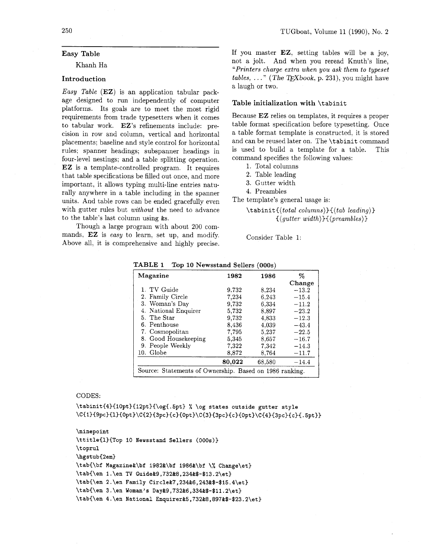# **Easy Table**

Khanh Ha

# **Introduction**

*Easy Table* (EZ) is an application tabular package designed to run independently of computer platforms. Its goals are to meet the most rigid requirements from trade typesetters when it comes to tabular work. EZ's refinements include: precision in row and column, vertical and horizontal placements; baseline and style control for horizontal rules; spanner headings; subspanner headings in four-level nestings; and a table splitting operation. EZ is a template-controlled program. It requires that table specifications be filled out once, and more important, it allows typing multi-line entries naturally anywhere in a table including in the spanner units. And table rows can be ended gracefully even with gutter rules but *without* the need to advance to the table's last column using &s.

Though a large program with about 200 commands, EZ is *easy* to learn. set up, and modify. Above all, it is comprehensive and highly precise. If you master EZ, setting tables will be a joy, not a jolt. And when you reread Knuth's line, *"Printers charge extra when you ask them to typeset*   $tables, \ldots$ " (The TEXbook, p. 231), you might have a laugh or two.

# **Table initialization with** *\tabinit*

Because EZ relies on templates, it requires a proper table format specification before typesetting. Once a table format template is constructed, it is stored and can be reused later on. The *\tabinit* command is used to build a template for a table. This command specifies the following values:

- 1. Total columns
- 2. Table leading
- **3.** Gutter width
- 4. Preambles

The template's general usage is:

Consider Table 1:

| Magazine             | 1982   | 1986   | %       |
|----------------------|--------|--------|---------|
|                      |        |        | Change  |
| 1. TV Guide          | 9.732  | 8,234  | $-13.2$ |
| 2. Family Circle     | 7,234  | 6.243  | $-15.4$ |
| 3. Woman's Day       | 9.732  | 6,334  | $-11.2$ |
| 4. National Enquirer | 5,732  | 8.897  | $-23.2$ |
| 5. The Star          | 9.732  | 4,833  | $-12.3$ |
| 6. Penthouse         | 8,436  | 4.039  | $-43.4$ |
| 7. Cosmopolitan      | 7,795  | 5.237  | $-22.5$ |
| 8. Good Housekeeping | 5,345  | 8.657  | $-16.7$ |
| 9. People Weekly     | 7,322  | 7,342  | $-14.3$ |
| 10. Globe            | 8,872  | 8.764  | $-11.7$ |
|                      | 80,022 | 68.580 | $-14.4$ |

**TABLE 1 Top 10 Newsstand Sellers (000s)** 

### CODES:

**\tabinit{4){10pt){12~t}{\og{.5pt}** % **\og states outside gutter style**  \C{1}{9pc}{1}{0pt}\C{2}{3pc}{c}{0pt}\C{3}{3pc}{c}{0pt}\C{4}{3pc}{c}{.5pt}}

```
\ninepoint 
\ttitle{l}{Top 10 Newsstand Sellers (000s)}
\toprul 
\hgstubC2em) 
\tab{\bf Maga.ine&\bf 1982&\bf 1986&\bf \% Change\et) 
\tabI\en l.\en TV Guide&9,732&8,234&$-$13.2\et) 
\tabI\en 2. \en Family Circle&7,234&6,243&$-$15.4\et} 
\tabC\en 3.\en Woman's Day&9,732&6,334&$-$11.2\et) 
\tabC\en 4. \en National Enquirer&5,732&8,897&$-$23.2\et)
```
*<sup>\</sup>tabinit(( total columns))((tab leading)) {(gutter width)3C(preambles)* )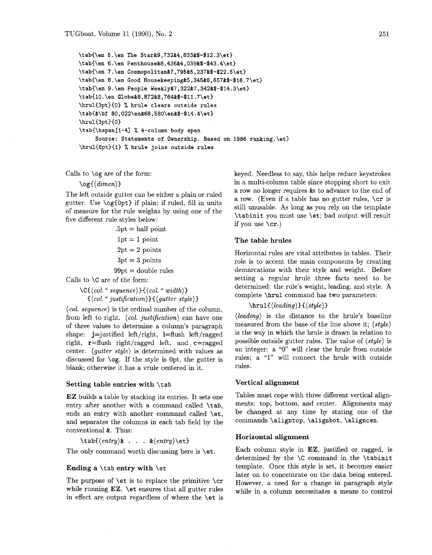```
\tab{\en 5.\en The Star&9,732&4,833&$-$12.3\et) 
\tab{\en 6. \en Penthouse&8,436&4,039&$-$43.4\et) 
\tab{\en 7.\en Cosmopolitan&7,795&5,237&$-$22.5\et) 
\tab{\en 8. \en Good Housekeeping&5,345&8,657&$-$16.7\et) 
\tab{\en 9. \en People Weekly&7,322&7,342&$-$14.3\et) 
\tab{lO . \en Globe&8,872&8,764&$-$11.7\et) 
\hrul{3pt){0) % hrule clears outside rules 
\tab{&\bf 80,022\en&68,580\en&$-$14.4\et) 
\hrul{3pt}{0}
\tab{\bspan[l-41 % 4-column body span
```
**Source: Statements of Ownership. Based on 1986 ranking.\et} \hrul{6pt){l)** % **hrule joins outside rules** 

Calls to \og are of the form:

# $\log({dimen})$

The left outside gutter can be either a plain or ruled gutter. Use  $\o{f0pt}$  if plain; if ruled, fill in units of measure for the rule weights by using one of the five different rule styles below:

 $.5pt = half point$ 

 $1pt = 1$  point

 $2pt = 2 points$ 

 $3pt = 3$  points

 $99pt = double rules$ 

Calls to \C are of the form:

 $\C{C}$ (col. " sequence)} $\{\langle col. " width \rangle\}$  $\{\langle col. "justification \rangle\}\{\langle quite \ style\rangle\}$ 

 $\langle col. sequence \rangle$  is the ordinal number of the column, from left to right.  $\langle col. \text{ justification} \rangle$  can have one of three values to determine a column's paragraph shape:  $j$ =justified left/right, l=flush left/ragged right,  $\mathbf{r}$ =flush right/ragged left, and  $\mathbf{c}$ =ragged center. (gutter style) is determined with values as discussed for \og. If the style is Opt, the gutter is blank; otherwise it has a vrule centered in it.

### Setting table entries with \tab

EZ builds a table by stacking its entries. It sets one entry after another with a command called \tab, ends an entry with another command called \et, and separates the columns in each tab field by the conventional &. Thus:

 $\text{lab}(\text{entry})$ & . . .  $\&\langle \text{entry} \rangle$ 

The only command worth discussing here is \et.

## Ending a \tab entry with \et

The purpose of  $\et{k}$  is to replace the primitive  $\c{c}$ while running EZ. \et ensures that all gutter rules in effect are output regardless of where the \et is keyed. Needless to say, this helps reduce keystrokes in a multi-column table since stopping short to exit a row no longer requires &s to advance to the end of a row. (Even if a table has no gutter rules, \cr is still unusable. As long as you rely on the template \tabinit you must use \et; bad output will result if you use  $\csc$ .)

### The table hrules

Horizontal rules are vital attributes in tables. Their role is to accent the main components by creating demarcations with their style and weight. Before setting a regular hrule three facts need to be determined: the rule's weight, leading, and style. A complete \hrul command has two parameters:

# $\hbox{\texttt{leading}}{(\textit{style})}$

 $\langle leading \rangle$  is the distance to the hrule's baseline measured from the base of the line above it;  $\langle style\rangle$ is the way in which the hrule is drawn in relation to possible outside gutter rules. The value of  $\langle \textit{style} \rangle$  is an integer: a "0" will clear the hrule from outside rules; a "1" will connect the hrule with outside rules.

# Vertical alignment

Tables must cope with three different vertical alignments: top, bottom, and center. Alignments may be changed at any time by stating one of the commands \aligntop, \alignbot, \aligncen.

### Horizontal alignment

Each column style in EZ, justified or ragged, is determined by the \C command in the \tabinit template. Once this style is set, it becomes easier later on to concentrate on the data being entered. However, a need for a change in paragraph style while in a column necessitates a means to control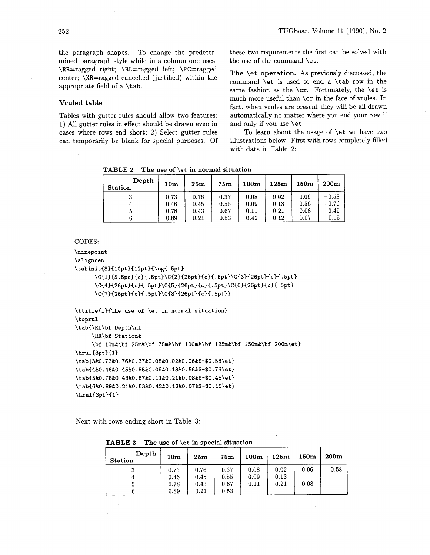the paragraph shapes. To change the predetermined paragraph style while in a column one uses: \RR=ragged right; \RL=ragged left; \RC=ragged center; \XR=ragged cancelled (justified) within the appropriate field of a \tab.

# **Vruled table**

Tables with gutter rules should allow two features: 1) All gutter rules in effect should be drawn even in cases where rows end short; 2) Select gutter rules can temporarily be blank for special purposes. Of these two requirements the first can be solved with the use of the command \et.

**The** \et **operation.** As previously discussed, the command \et is used to end a \tab row in the same fashion as the \cr. Fortunately, the \et is much more useful than \cr in the face of vrules. In fact, when vrules are present they will be all drawn automatically no matter where you end your row if and only if you use \et.

To learn about the usage of \et we have two illustrations below. First with rows completely filled with data in Table 2:

**TABLE 2 The use of \et in normal situation** 

| Depth<br><b>Station</b> | 10 <sub>m</sub> | 25 <sub>m</sub> | 75m  | 100 <sub>m</sub> | 125m | 150m | 200m    |
|-------------------------|-----------------|-----------------|------|------------------|------|------|---------|
| υ                       | 0.73            | 0.76            | 0.37 | 0.08             | 0.02 | 0.06 | $-0.58$ |
| 4                       | 0.46            | 0.45            | 0.55 | 0.09             | 0.13 | 0.56 | $-0.76$ |
| G                       | 0.78            | 0.43            | 0.67 | 0.11             | 0.21 | 0.08 | $-0.45$ |
|                         | 0.89            | 0.21            | 0.53 | 0.42             | 0.12 | 0.07 | $-0.15$ |

# CODES:

```
\ninepoint
```
\aligncen

```
\tabinit{8}{10pt}{12pt}{\og{.5pt}
```
\C{1}{5.5pc}{c}{.5pt}\C{2}{26pt}{c}{.5pt}\C{3}{26pt}{c}{.5pt} \C{4}{26pt}{c}{.5pt}\C{5}{26pt}{c}{.5pt}\C{6}{26pt}{c}{.5pt} \C{7}{26pt}{c}{.5pt}\C{8}{26pt}{c}{.5pt}}

```
\ttitle{l){The use of \et in normal situation) 
\t oprul 
\tab{\RL\bf Depth\nl 
     \RR\bf Stat ion& 
     \bf lOm&\bf 25m&\bf 75m&\bf 100m&\bf 125m&\bf 150m&\bf 200m\et} 
\hrul{3pt){l) 
\tab{3&0.73&0.76&0.37&0. 08&0.02&0.06&$-$0.58\et) 
\tab{4&0.46&0.45&0.55&0.09&0.13&0.56&$-$0.76\et) 
\tab{5&0.78&0.43&0.67&0.11&0.21&0.08&$-$0.45\et) 
\tab{6&0.89&0.21&0.53&0.42&0.12&0.07&$-$0.15\et)
```
**\hrulCBptHl)** 

Next with rows ending short in Table **3:** 

**TABLE 3 The use of \et in special situation** 

| Depth          | 10 <sub>m</sub> | 25m  | 75m  | 100 <sub>m</sub> | 125m | 150 <sub>m</sub> | 200m    |
|----------------|-----------------|------|------|------------------|------|------------------|---------|
| <b>Station</b> |                 |      |      |                  |      |                  |         |
| a              | 0.73            | 0.76 | 0.37 | 0.08             | 0.02 | 0.06             | $-0.58$ |
|                | 0.46            | 0.45 | 0.55 | 0.09             | 0.13 |                  |         |
|                | 0.78            | 0.43 | 0.67 | 0.11             | 0.21 | 0.08             |         |
|                | 0.89            | 0.21 | 0.53 |                  |      |                  |         |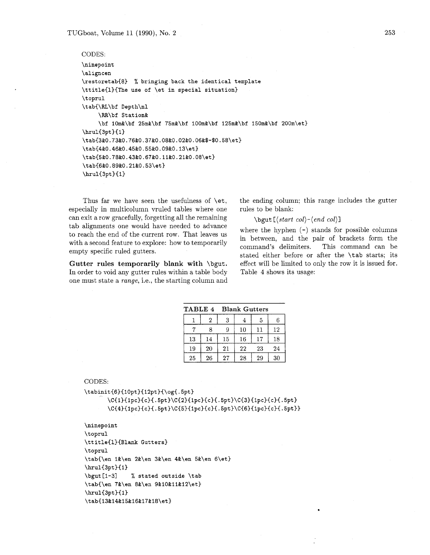TUGboat, Volume *11 (1990),* No. **2** 

```
CODES: 
\ninepoint 
\aligncen 
\restoretab{8) % bringing back the identical template 
\ttitle{l){The use of \et in special situation) 
\toprul 
\tab{\RL\bf Depth\nl 
     \RR\bf St at ion& 
     \bf lOm&\bf 25m&\bf 75m&\bf 100m&\bf 125m&\bf 150m&\bf 200m\et} 
\hbox{\texttt{3pt}}{1}
\tab{3&0.73&0.76&0.37&0.08&0.02&0.06&$-$0.58\et) 
\tab{4&0.46&0.45&0.55&0.09&0.13\et) 
\tab{5&0.78&0.43&0.67&0.11&0.21&0.08\et) 
\tab{6&0.89&0.21&0.53\et) 
\hbox{\hrul}\{3pt\}[1]
```
especially in multicolumn vruled tables where one rules to be blank: can exit a row gracefully, forgetting all the remaining  $\begin{cases} \begin{array}{c} \begin{array}{c} \begin{array}{c} \begin{array}{c} \end{array} \\ \end{array} \end{cases} \begin{array}{c} \begin{array}{c} \end{array} \end{array} \end{cases}$  all  $\begin{array}{c} \begin{array}{c} \end{array} \end{array}$  (b)  $\begin{array}{c} \end{array} \end{array}$  (c)  $\begin{array}{c} \begin{array}{c} \end{array} \end{array}$ tab alignments one would have needed to advance<br>to reach the end of the current row. That leaves us to reach the end of the current row. That leaves us in between, and the pair of brackets form the with a second feature to explore: how to temporarily command's delimiters. This command can be empty specific ruled gutters.

In order to void any gutter rules within a table body Table 4 shows its usage: one must state a *range,* i.e., the starting column and

Thus far we have seen the usefulness of  $\et$ . the ending column; this range includes the gutter

stated either before or after the \tab starts; its **Gutter rules temporarily blank with** \bgut. effect will be limited to only the row it is issued for.

| <b>TABLE 4</b> |    |    | <b>Blank Gutters</b> |    |    |  |  |  |  |
|----------------|----|----|----------------------|----|----|--|--|--|--|
|                | 2  | 3  |                      | 5  |    |  |  |  |  |
|                |    | 9  | 10                   | 11 | 12 |  |  |  |  |
| 13             | 14 | 15 | 16                   | 17 | 18 |  |  |  |  |
| 19             | 20 | 21 | 22                   | 23 | 24 |  |  |  |  |
| 25             | 26 | 27 | 28                   | 29 | 30 |  |  |  |  |

CODES:

```
\tabinit{6}{10pt}{12pt}{\og{.5pt}
      \C{1}{1pc}{c}{.5pt}\C{2}{1pc}{c}{.5pt}\C{3}{1pc}{c}{.5pt}
      \C{4}{1pc}{c}{.5pt}\C{5}{1pc}{c}{.5pt}\C{6}{1pc}{c}{.5pt}
```

```
\ninepoint 
\toprul 
\ttitle{l){Blank Gutters) 
\toprul 
\tab{\en l&\en 2&\en 3&\en 4&\en 5&\en 6\et) 
\hbox{\texttt{3pt}}1\bgut [I-31 % stated outside \tab 
\tab{\en 7&\en 8&\en 9&10&11&12\et}
\hbox{\texttt{3pt}}{1}
\tab{13&14&15&16&17&18\et)
```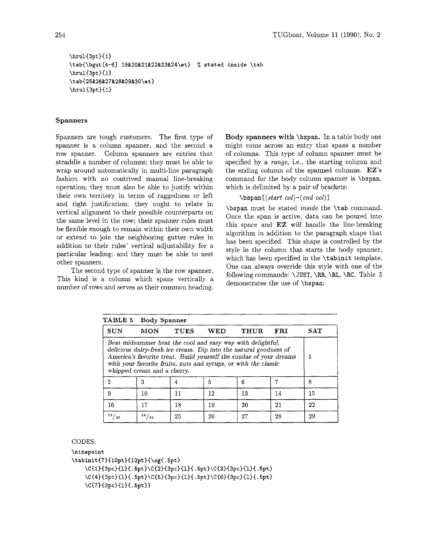\hrul{3pt}{1} **\tab(\bgut [4-61 19%20&21%22&23%24\et)** % **stated inside \tab**  \hrul{3pt}{1} \tab{25&26&27&28&29&30\et}  $\h\nu1{3pt}{1}$ 

### **Spanners**

Spanners are tough customers. The first type of spanner is a column spanner, and the second a row spanner. Column spanners are entries that straddle a number of columns; they must be able to wrap around automatically in multi-line paragraph fashion with no contrived manual line-breaking operation; they must also be able to justify within their own territory in terms of raggedness or left and right justification; they ought to relate in vertical alignment to their possible counterparts on the same level in the row; their spanner rules must be flexible enough to remain within their own width or extend to join the neighboring gutter-ules in addition to their rules' vertical adjustability for a particular leading; and they must be able to nest other spanners.

The second type of spanner is the row spanner. This kind is a column which spans vertically a number of rows and serves as their common heading. Body **spanners with** \bspan. In a table body one might come across an entry that spans a number of columns. This type of column spanner must be specified by a range, i.e., the starting column and the ending column of the spanned columns. EZ's command for the body column spanner is \bspan, which is delimited by a pair of brackets:

# $\begin{bmatrix} (start \ col) - (end \ col) \end{bmatrix}$

\bspan must be stated inside the \tab command. Once the span is active, data can be poured into this space and EZ will handle the line-breaking algorithm in addition to the paragraph shape that has been specified. This shape is controlled by the style in the column that starts the body spanner, which has been specified in the \tabinit template. One can always override this style with one of the following commands: \JUST, \RR, \RL, **\RC.** Table 5 demonstrates the use of \bspan:

| TABLE 5      | <b>Body Spanner</b>         |             |            |                                                                                                                                                                                                                                                                          |     |        |
|--------------|-----------------------------|-------------|------------|--------------------------------------------------------------------------------------------------------------------------------------------------------------------------------------------------------------------------------------------------------------------------|-----|--------|
| <b>SUN</b>   | <b>MON</b>                  | <b>TUES</b> | <b>WED</b> | THUR                                                                                                                                                                                                                                                                     | FRI | SAT    |
|              | whipped cream and a cherry. |             |            | Beat midsummer heat the cool and easy way with delightful,<br>delicious dairy-fresh ice cream. Dip into the natural goodness of<br>America's favorite treat. Build yourself the sundae of your dreams<br>with your favorite fruits, nuts and syrups, or with the classic |     |        |
| $\mathbf{2}$ | 3                           |             | 5          | 6                                                                                                                                                                                                                                                                        |     | 8      |
| 9            | 10                          | 11          | 12         | 13                                                                                                                                                                                                                                                                       | 14  | 15     |
| 16           | 17                          | 18          | 19         | 20                                                                                                                                                                                                                                                                       | 21  | $22\,$ |
| 23/30        | 24/31                       | 25          | 26         | 27                                                                                                                                                                                                                                                                       | 28  | 29     |

#### CODES:

\ninepoint

```
\tabinit{7}{10pt}{12pt}{\og{.5pt}
```

```
\C{1}{3pc}{1}{.5pt}\C{2}{3pc}{1}{.5pt}\C{3}{3pc}{1}{.5pt}
\C{4}{3pc}{1}{.5pt}\C{5}{3pc}{1}{.5pt}\C{6}{3pc}{1}{.5pt}
\C{7}{3pc}{1}{.5pt}}
```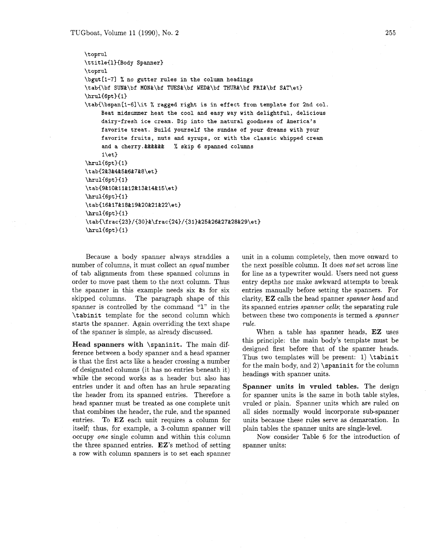```
\t oprul 
\ttitle{l)(Body Spanner) 
\toprul 
\bgut[l-71 % no gutter rules in the column headings 
\tab{\bf SUN&\bf MON&\bf TUES&\bf WED&\bf THUR&\bf FRI&\bf SAT\et} 
\hrul{6pt}{1}
\tabC\bspan[l-6l\it % ragged right is in effect from template for 2nd col. 
     Beat midsummer heat the cool and easy way with delightful, delicious 
     dairy-fresh ice cream. Dip into the natural goodness of America's 
     favorite treat. Build yourself the sundae of your dreams with your 
     favorite fruits, nuts and syrups, or with the classic whipped cream 
     and a cherry.&&&&&& % skip 6 spanned columns 
     l\et3 
\hrul{6pt}{1}
\tab{2&3&4&5&6&7&8\et) 
\hrul{6pt}{1}
\tab{9%10&11&12&13&14$15\et) 
\hrul{6pt}{1}
\tab{l6&17&18&19&20&21&22\et) 
\hbox{hru1{6pt}{1}\tab{\frac{23)/{30)&\f rac{24}/{31)&25&26&27&28&29\et) 
\hbox{\texttt{6pt}}{1}
```
Because a body spanner always straddles a number of columns, it must collect an *equal* number of tab alignments from these spanned columns in order to move past them to the next column. Thus the spanner in this example needs six &s for six skipped columns. The paragraph shape of this spanner is controlled by the command **"1"** in the \tabinit template for the second column which starts the spanner. Again overriding the text shape of the spanner is simple, as already discussed.

**Head spanners with** \spaninit. The main difference between a body spanner and a head spanner is that the first acts like a header crossing a number of designated columns (it has no entries beneath it) while the second works as a header but also has entries under it and often has an hrule separating the header from its spanned entries. Therefore a head spanner must be treated as one complete unit that combines the header, the rule, and the spanned entries. To EZ each unit requires a column for itself; thus, for example, a 3-column spanner will occupy *one* single column and within this column the three spanned entries. EZ's method of setting a row with column spanners is to set each spanner unit in a column completely, then move onward to the next possible column. It does *not* set across line for line as a typewriter would. Users need not guess entry depths nor make awkward attempts to break entries manually before setting the spanners. For clarity, EZ calls the head spanner *spanner head* and its spanned entries *spanner cells;* the separating rule between these two components is termed a *spanner rule.* 

When a table has spanner heads, EZ uses this principle: the main body's template must be designed first before that of the spanner heads. Thus two templates will be present: 1) \tabinit for the main body, and  $2)$  \spaninit for the column headings with spanner units.

**Spanner units in vruled tables.** The design for spanner units is the same in both table styles, vruled or plain. Spanner units which are ruled on all sides normally would incorporate sub-spanner units because these rules serve as demarcation. In plain tables the spanner units are single-level.

Now consider Table 6 for the introduction of spanner units: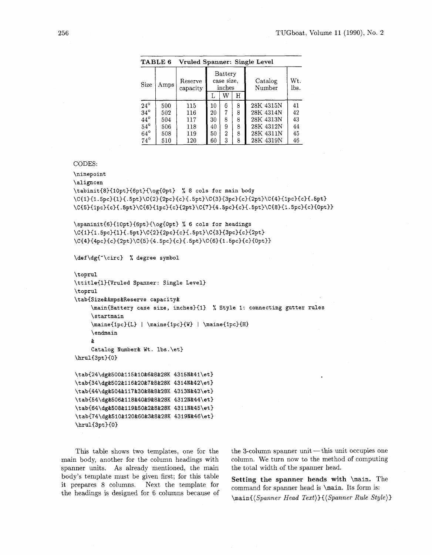|              | TABLE 6                     |     |    |                                 |   | Vruled Spanner: Single Level |             |
|--------------|-----------------------------|-----|----|---------------------------------|---|------------------------------|-------------|
| <b>Size</b>  | Reserve<br>Amps<br>capacity |     |    | Battery<br>case size.<br>inches |   | Catalog<br>Number            | Wt.<br>lbs. |
|              |                             |     |    | W                               | Н |                              |             |
| $24^{\circ}$ | 500                         | 115 | 10 | 6                               | 8 | 28K 4315N                    | 41          |
| $34^{\circ}$ | 502                         | 116 | 20 | 7                               | 8 | 28K 4314N                    | 42          |
| $44^{\circ}$ | 504                         | 117 | 30 | 8                               | 8 | 28K 4313N                    | 43          |
| $54^{\circ}$ | 506                         | 118 | 40 | 9                               | 8 | 28K 4312N                    | 44          |
| $64^{\circ}$ | 508                         | 119 | 50 | $\overline{2}$                  | 8 | 28K 4311N                    | 45          |
| $74^{\circ}$ | 510                         | 120 | 60 | 3                               | 8 | 28K 4319N                    | 46          |

#### CODES:

\ninepoint

# \aligncen

\tabinit{8}{10pt}{6pt}{\og{0pt} % 8 cols for main body \C{1}{1.5pc}{1}{.5pt}\C{2}{2pc}{c}{.5pt}\C{3}{3pc}{c}{2pt}\C{4}{1pc}{c}{.5pt} \C{5}{1pc}{c}{.5pt}\C{6}{1pc}{c}{2pt}\C{7}{4.5pc}{c}{.5pt}\C{8}{1.5pc}{c}{0pt}}

\spaninit{6}{10pt}{6pt}{\og{0pt} % 6 cols for headings \C{1}{1.5pc}{1}{.5pt}\C{2}{2pc}{c}{.5pt}\C{3}{3pc}{c}{2pt} \C{4}{4pc}{c}{2pt}\C{5}{4.5pc}{c}{.5pt}\C{6}{1.5pc}{c}{0pt}}

**\def \dg{-\circ}** % **degree symbol** 

```
\t oprul 
\ttitle{l}{Vruled Spanner: Single Level} 
\toprul 
\tabCSize&Amps&Reserve capacity& 
     \main{Battery case size, inches}{l} % Style 1: connecting gutter rules 
     \startmain 
     \maine{lpc){L} I \maine{ipc}{W} I \maine{lpc){H} 
     \endmain 
     & 
     Catalog Number& Wt . lbs. \et}
```
\hrul{3pt}{0}

\tab{24\dg&500&115&10&6&8&28K 4315N&41\et} \tab{34\dg&502&116&20&7&8&28K 4314N&42\et} \tab{44\dg&504&117&30&8&8&28K 4313N&43\et} \tab{54\dg&506&118&40&9&8&28K 4312N&44\et} \tab{64\dg&508&119&50&2&8&28K 4311N&45\et} \tab{74\dg&510&120&60&3&8&28K 4319N&46\et} \hrul{3pt}{0}

This table shows two templates, one for the main body, another for the column headings with spanner units. As already mentioned, the main body's template must be given first; for this table it prepares 8 columns. Next the template for the headings is designed for 6 columns because of  $the 3$ -column spanner unit  $-this$  unit occupies one column. We turn now to the method of computing the total width of the spanner head.

**Setting the spanner heads with** *\main.* The command for spanner head is *\main.* Its form is:  $\mathcal{S}$  *(Spanner Head Text)*  $\{ \mathcal{S}$  *(Spanner Rule Style)*  $\}$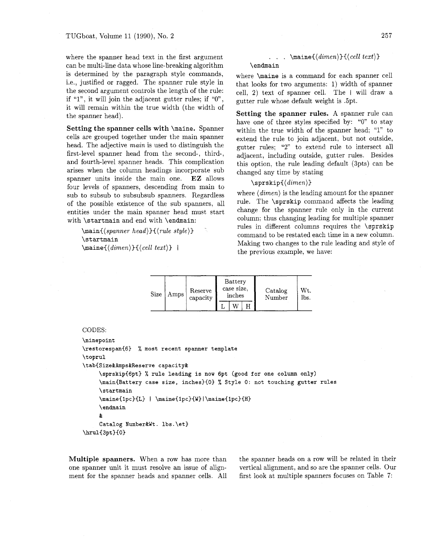where the spanner head text in the first argument can be multi-line data whose line-breaking algorithm is determined by the paragraph style commands, i.e., justified or ragged. The spanner rule style in the second argument controls the length of the rule: if " $1$ ", it will join the adjacent gutter rules; if " $0$ ", it will remain within the true width (the width of the spanner head).

**Setting the spanner cells with** *\maine.* Spanner cells are grouped together under the main spanner head. The adjective *main* is used to distinguish the first-level spanner head from the second-, third-, and fourth-level spanner heads. This complication arises when the column headings incorporate sub spanner units inside the main one. EZ allows four levels of spanners, descending from main to sub to subsub to subsubsub spanners. Regardless of the possible existence of the sub spanners, all entities under the main spanner head must start with *\startmain* and end with *\endmain:* 

*\main((spanner head))((rule style))* . *\startmain*   $\mathcal{dim}(dimen)$ }{ $\{cell text\}$ 

```
. . . \mathcal{(\dim e)}{\langle cell \ text \rangle}\endmain
```
where *\maine* is a command for each spanner cell that looks for two arguments: 1) width of spanner cell, 2) text of spanner cell. The I will draw a gutter rule whose default weight is .5pt.

Setting the spanner rules. A spanner rule can have one of three styles specified by: "0" to stav within the true width of the spanner head; "1" to extend the rule to join adjacent, but not outside, gutter rules; "2" to extend rule to intersect all adjacent, including outside, gutter rules. Besides this option, the rule leading default (3pts) can be changed any time by stating

### *\sprskip((dimen))*

where *(dimen)* is the leading amount for the spanner rule. The *\sprskip* command affects the leading change for the spanner rule only in the current column; thus changing leading for multiple spanner rules in different columns requires the *\sprskip*  command to be restated each time in a new column. Making two changes to the rule leading and style of the previous example, we have:

| Size | Amps | Reserve<br>capacity | Battery<br>case size,<br>inches | Catalog<br>Number | Wt.<br>lbs. |
|------|------|---------------------|---------------------------------|-------------------|-------------|
|      |      |                     |                                 |                   |             |

# CODES:

```
\ninepoint 
\restorespani6) % most recent spanner template 
\toprul 
\tabiSize&Amps%Reserve capacity& 
     \sprskip(6pt) % rule leading is now 6pt (good for one column only) 
     \mainCBattery case size, inches3CO) % Style 0: not touching gutter rules 
     \startmain 
     \maine{1pc}{L} | \maine{1pc}{W}|\maine{1pc}{H}
     \endmain 
     & 
     Catalog Number%Wt. lbs.\et) 
\hrul{3pt}{0}
```
one spanner unit it must resolve an issue of align- vertical alignment, and so are the spanner cells. Our ment for the spanner heads and spanner cells. All first look at multiple spanners focuses on Table 7:

**Multiple spanners.** When a row has more than the spanner heads on a row will be related in their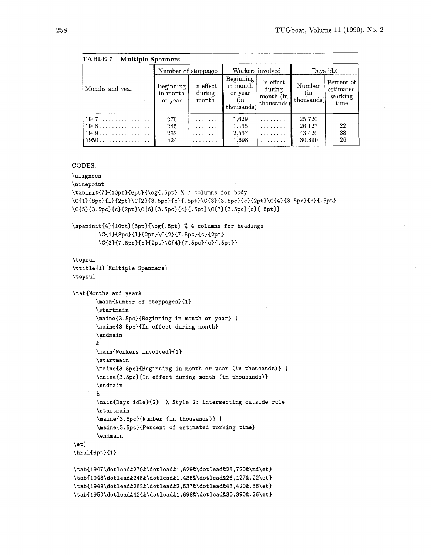|                                     |                                  |                              |                                                       |                                                | TUGboat, Volume 11 (199              |                                            |
|-------------------------------------|----------------------------------|------------------------------|-------------------------------------------------------|------------------------------------------------|--------------------------------------|--------------------------------------------|
| <b>Multiple Spanners</b><br>TABLE 7 |                                  |                              |                                                       |                                                |                                      |                                            |
|                                     |                                  | Number of stoppages          | Workers involved                                      |                                                | Days idle                            |                                            |
| Months and year                     | Beginning<br>in month<br>or year | In effect<br>during<br>month | Beginning<br>in month<br>or year<br>(in<br>thousands) | In effect<br>during<br>month (in<br>thousands) | Number<br>(in<br>thousands)          | Percent of<br>estimated<br>working<br>time |
| 1947<br>1948<br>$1949$<br>1950      | 270<br>245<br>262<br>424         | .                            | 1,629<br>1,435<br>2,537<br>1,698                      |                                                | 25,720<br>26,127<br>43,420<br>30,390 | .22<br>.38<br>.26                          |

### CODES:

\aligncen

\ninepoint

```
\tabinit{7){lOpt){6pt){\og{. 5pt) % 7 columns for body 
\C{1}{8pc}{1}{2pt}\C{2}{3.5pc}{c}{.5pt}\C{3}{3.5pc}{c}{2pt}\C{4}{3.5pc}{c.5pt}
\C{5}{3.5pc}{c}{2pt}\C{6}{3.5pc}{c}{.5pt}\C{7}{3.5pc}{c}{.5pt}}
```

```
\spaninit{4){lOpt){6pt){\og(.5pt) % 4 columns for headings 
        \CCl)C8pc~C13C2pt)\C(2)I7.5pc>{c~~2pt) 
        \C{3H7.5pc~Cc~C2pt1\CC4H7.5pcHc3C. 5ptIl
```
\t oprul \ttitle{l){Multiple Spanners) \toprul

\tab{Months and year&

```
\main(Number of stoppages){l) 
\startmain 
\maine{3.5pc){Beginning in month or year) I
\maine{3.5pc){In effect during month) 
\endmain
```
### &

```
\main{Workers involved){l) 
\st artmain 
\maine{3.5pc}{Beginning in month or year (in thousands)} |
\maine{3.5pc)(In effect during month (in thousands)) 
\endmain 
& 
\mainCDays idle){2) % Style 2: intersecting outside rule 
\startmain 
\maine{3.5pc}{Number (in thousands)} |
```
\maine{3.5pc){Percent of estimated working time)  $\lambda$ 

### $\setminus$ et}

 $\h\n\ell_{6pt}{1}$ 

```
\label{thm:main} $$\tabf1947\dot\leq 270% \dot\leq 1,629% \dot\leq 25,720% \dot\leq 1.5.\label{thm:sub1948} \ttab(1948\dot{245\&\dot{245\&\dot{245\&1,435\&\dot{245\&25,127\&.22\&t\} }\label{thm:sub1949} \verb+\tab{1949\dot{2}62\&\dot{2}62\&\dot{2}637\&\dot{2}643\&420\&.38\et{ }\tab{1950\dotlead&424&\dotlead&1,698&\dotlead&30,390&.26\et}
```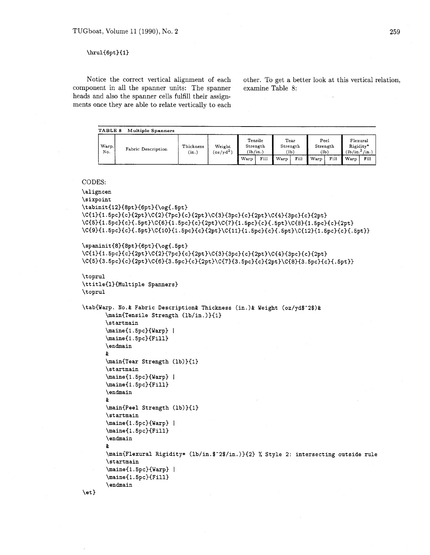# $\hbox{\hrul}\{6pt\}\{1\}$

component in all the spanner units: The spanner heads and also the spanner cells fulfill their assignments once they are able to relate vertically to each

Notice the correct vertical alignment of each other. To get a better look at this vertical relation, ponent in all the spanner units: The spanner examine Table 8:

| Warp.<br>No. | Fabric Description | Thickness<br>Weight<br>$(oz/yd^2)$<br>(in.) |  |      | Tensile<br>Strength<br>(lb/in.) |      | Tear<br>Strength<br>(1b) |      | Peel<br>Strength<br>(1b) |      | Flexural<br>Rigidity*<br>(in.)<br>(lb/in. <sup>2</sup> ) |  |
|--------------|--------------------|---------------------------------------------|--|------|---------------------------------|------|--------------------------|------|--------------------------|------|----------------------------------------------------------|--|
|              |                    |                                             |  | Warp | Fill                            | Warp | Fill                     | Warp | Fill                     | Warp | Fill                                                     |  |

# CODES:

```
\aligncen
\sixpoint
\tabinit{12}{8pt}{6pt}{\og{.5pt}
\C{1}{1.5pc}{c}{2pt}\C{2}{7pc}{c}{2pt}\C{3}{3pc}{c}{2pt}\C{4}{3pc}{c}{2pt}
\C{5}{1.5pc}{c}{.spt}\C{6}{1.5pc}{c}{2pt}\C{7}{1.5pc}{c}{.spt}\C{8}{1.5pc}{c}{2pt}
\C{9}{1.5pc}{c}{.5pt}\C{10}{1.5pc}{c}{2pt}\C{11}{1.5pc}{c}{.5pt}\C{12}{1.5pc}{c}{.5pt}}
\spaninit{8}{8pt}{6pt}{\og{.5pt}
\C{1}{1.5pc}{c}{2pt}\C{2}{7pc}{c}{2pt}\C{3}{3pc}{c}{2pt}\C{4}{3pc}{c}{2pt}
\C{5}{3.5pc}{c}{2pt}\C{6}{3.5pc}{c}{2pt}\C{6}{3.5pc}{c}{2pt}\C{6}{3.5pc}{c}{2pt}\C{6}{3.5pc}{c}}}
\toprul 
\ttitle{l){Multiple Spanners} 
\toprul 
\tab{Warp. No.& Fabric Description& Thickness (in.)& Weight (oz/yd$-2$)& 
       \main{Tensile Strength (lb/in.)){l) 
       \startmain 
       \maine{1.5pc){Warp) I
       \maine{1.5pc){Fill) 
       \endmain 
       & 
       \main{Tear Strength (lb)){1) 
       \st artmain 
       \maine{1.5pc){Warp) 
       \maine{l.5pc){Fill) 
       \endmain 
       & 
       \main{Peel Strength 
       \st artmain 
       \maineIl .5pc){Warp) 
       \maine{1.5pc){Fill) 
       \endmain 
       & 
       \mainIFlexural Rigidity* (lb/in.$-2$/in.)){2) % Style 2: intersecting outside rule 
       \st artmain 
       \maineIl.5pc){Warp) I
       \maine{l.5pc){Fill) 
       \endmain
```

```
\et)
```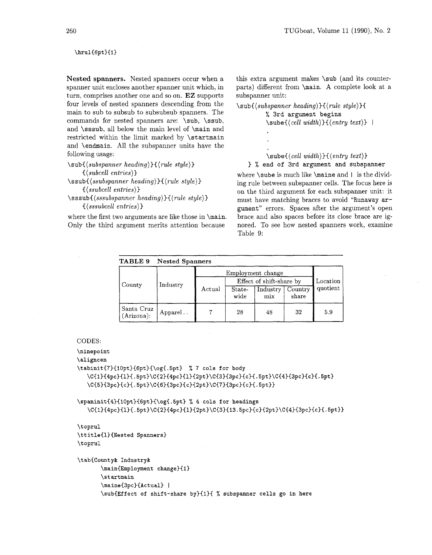### \hrul{6pt}{1}

Nested spanners. Nested spanners occur when a spanner unit encloses another spanner unit which, in turn, comprises another one and so on. EZ supports four levels of nested spanners descending from the main to sub to subsub to subsubsub spanners. The commands for nested spanners are: *\sub, \ssub,*  and *\sssub,* all below the main level of *\main* and restricted within the limit marked by *\startmain*  and *\endmain.* All the subspanner units have the following usage:

```
\subC(subspanner heading)){(rule style)) 
     ((subcell entries) 3
```
*\ssubC(ssubspanner heading)){ (rule style)) {(ssubcell entries)* 

*\sssub((sssubspanner heading)){(rule style))*  { *(sssubcell entries)* **1** 

where the first two arguments are like those in *\main.*  Only the third argument merits attention because

this extra argument makes *\sub* (and its counterparts) different from *\main. A* complete look at a subspanner unit:

*\sub{(subspanner heading))((rule sty1e)H*  % *3rd argument begins*   $\{\langle \text{cell width}\rangle\}$  *{*  $\langle \text{entry text}\rangle\}$  | *\sube{(cell width))((entry text))* 

### ) % *end* **of** *3rd argument and subspanner*

where *\sube* is much like *\maine* and I is the dividing rule between subspanner cells. The focus here is on the third argument for each subspanner unit: it must have matching braces to avoid *"Runaway argument"* errors. Spaces after the argument's open brace and also spaces before its close brace are ignored. To see how nested spanners work, examine Table 9:

| TABLE 9                     | <b>Nested Spanners</b> |        |                   |                          |                  |          |
|-----------------------------|------------------------|--------|-------------------|--------------------------|------------------|----------|
|                             |                        |        | Employment change |                          |                  |          |
|                             | Industry               |        |                   | Effect of shift-share by |                  | Location |
| County                      |                        | Actual | State-<br>wide    | Industry<br>mix          | Country<br>share | quotient |
| Santa Cruz<br>$(Arizona)$ : | Apparel                |        | 28                | 48                       | 32               | 5.9      |

### CODES:

\ninepoint

```
\aligncen
```
\tabinit{7}{10pt}{6pt}{\og{.5pt} % 7 cols for body

```
\C{1}{4pc}{1}{.5pt}\C{2}{4pc}{1}{2pt}\C{3}{3pc}{c}{.5pt}\C{4}{3pc}{c}{.5pt}
\C{5}{3pc}{c}{.5pt}\C{6}{3pc}{c}{2pt}\C{7}{3pc}{c}{.5pt}}
```

```
\spaninit{4}{10pt}{6pt}{\og{.5pt} % 4 cols for headings
   \C{1}{4pc}{1}. 5pt\C{2}{4pc}{1}{2pt}\C{3}{13.5pc}{c}{2pt}\C{4}{3pc}{c}{1.5pt}
```
\t oprul \ttitle{l){Nested Spanners) \toprul

```
\tabiCounty% Industry& 
       \main{Employment change){l) 
       \st artmain 
       \maine{3pc){Actual) I
       \sub{Effect of shift-share by){l){ % subspanner cells go in here
```
260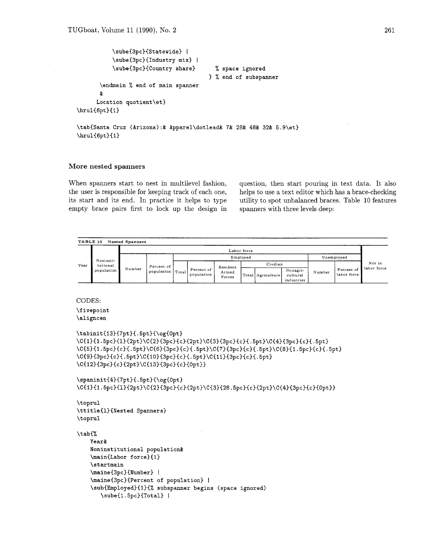```
\sube{3pc){Statewide) I 
           \sube{3pc){Industry mix) I 
           \sube{3pc){Country share) % space ignored 
                                          ) % end of subspanner 
       \endmain % end of main spanner 
       % 
      Location quotient\et) 
\hbox{\bf{6pt}}(1)
```
\tab{Santa Cruz (Arizona):% Apparel\dotlead& 7& 28& 48% 32% 5.9\et)  $\hbox{\texttt{6pt}}1$ 

### **More nested spanners**

When spanners start to nest in multilevel fashion, question, then start pouring in text data. It also the user is responsible for keeping track of each one, helps to use a text editor which has a brace-checking its start and its end. In practice it helps to type utility to spot unbalanced braces. Table 10 features empty brace pairs first to lock up the design in spanners with three levels deep:

```
TABLE 10 Nested Spanners
Year 
          Noninsti-
          tutional 
         population 
                                                                                                                                                            Not in 
                                                                                                                                                          labor force 
                                                                                 Labor force 
                          Number Percent of 
population 
                                                                                  Employed 
                                                    TotalUnemployed 
                                                                                                                               Number 
                                                            Percent Of 
                                                            population 
                                                                                                                                            percent of 
                                                                                                                                            labor force 
                                                                            Resident 
                                                                             Forces
                                                                                                     Civilian
                                                                                         Total Agrrculture 
                                                                                                                \frac{N \cdot \alpha}{N}cultural 
                                                                                                                lndustr~es
```
#### CODES:

\fivepoint \aligncen

```
\tabinit{13}{7pt}{.5pt}{\og{0pt}
\C{1}{1.5pc}{1}{2pt}\C{2}{3pc}{c}{2pt}\C{3}{3pc}{c}{.5pt}\C{4}{3pc}{c}{.5pt}
\C{5}{1.5pc}{c}{.5pt}\C{6}{3pc}{c}{.5pt}\C{7}{3pc}{c}{.5pt}\C{8}{1.5pc}{c}{.5pt}
\C{9}{3pc}{c}{.5pt}\C{10}{3pc}{c}{.5pt}\C{11}{3pc}{c}{.5pt}
\C{12}{3pc}{c}{2pt}\C{13}{3pc}{c}{0pt}}
```

```
\spaninit{4}{7pt}{.5pt}{\og{0pt}
\C{1}{1.5pc}{1}{2pt}\C{2}{3pc}{c}{2pt}\C{3}{28.5pc}{c}{2pt}\C{4}{3pc}{c}{0pt}}
```

```
\t oprul 
\ttitle{l)(Nested Spanners) 
\toprul
```
#### \tab(%

```
Year% 
Noninstitutional population& 
\main(Labor force)(l) 
\startmain 
\maine{3pc}{Number} |
\maine(3pc){Percent of population) 1
\subIErnployed){l){% subspanner begins (space ignored) 
   \sube{1.5pc}{Total} |
```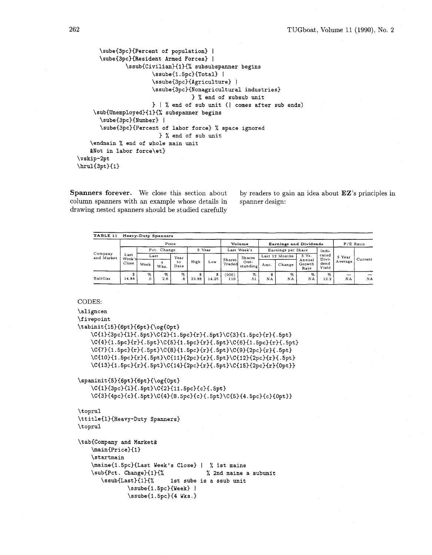```
\sube{3pc}{Percent of population} |
       \sube{3pc}{Resident Armed Forces} |
               \ssub{Civilian){l){% subsubspanner begins 
                       \ssube{1.5pc}{Total} |
                       \ssube{3pc)~Agriculture) I
                       \ssube{3pc)~Nonagricultural industries) 
                                    ) % end of subsub unit 
                       \} | \% end of sub unit (| comes after sub ends)
     \sub{Unemployed){l){% subspanner begins 
       \sube{3pc){Number) I
       \sube{3pc}{Percent of labor force} % space ignored
                         % end of sub unit 
    \endmain % end of whole main unit 
    &Not in labor force\et) 
\vskip-2pt 
\hbox{\hrul}\{3pt\}[1]
```
column spanners with an example whose details in spanner design: drawing nested spanners should be studied carefully

**Spanners forever.** We close this section about by readers to gain an idea about EZ's principles in

| TABLE 11              |                |         | Heavy-Duty Spanners    |            |       |            |                  |                  |         |                        |                          |                |         |             |  |
|-----------------------|----------------|---------|------------------------|------------|-------|------------|------------------|------------------|---------|------------------------|--------------------------|----------------|---------|-------------|--|
|                       | Price          |         |                        |            |       |            | Volume           |                  |         | Earnings and Dividends |                          |                |         | $P/E$ Ratio |  |
|                       |                |         | Pct. Change            |            |       | 5 Year     |                  | Last Week's      |         | Earnings per Share     |                          | Indi-          |         |             |  |
| Company<br>and Market | Last<br>Week's |         | Last                   | Year       |       |            |                  | <b>Shares</b>    |         | Last 12 Months         | 5 Yr.                    | cated<br>Divi- | 5 Year  | Current     |  |
|                       | Close          | Week    | $\overline{4}$<br>Wks. | to<br>Date | High  | Low        | Shares<br>Traded | Out-<br>standing | Amt.    | Change                 | Annual<br>Growth<br>Rate | dend<br>Yield  | Average |             |  |
| <b>BaltGas</b>        | \$<br>14.88    | %<br>.0 | %<br>2.6               | $\%$<br>.8 | 23.88 | S<br>14.25 | (000)<br>110     | $\%$<br>.51      | s<br>NA | %<br>NA                | %<br>NA                  | $\%$<br>12.2   | _<br>NA | NA          |  |

#### CODES:

\aligncen \fivepoint

```
\tabinit{15}{6pt}{6pt}{\og{0pt}
   \C{1}{3pc}{1}{.5pt}\C{2}{1.5pc}{r}{.5pt}\C{3}{1.5pc}{r}{.5pt}
   \C{4}{1.5pc}{r}{.5pt}\C{5}{1.5pc}{r}{.5pt}\C{6}{1.5pc}{r}{.5pt}
   \C{7}{1.5pc}{r}{.5pt}\C{8}{1.5pc}{r}{.5pt}\C{9}{2pc}{r}{.5pt}
   \C{10}{1.5pc}{r}{.5pt}\C{11}{2pc}{r}{.5pt}\C{12}{2pc}{r}{.5pt}
   \C{13}{1.5pc}{r}{.5pt}\C{14}{2pc}{r}{.5pt}\C{15}{2pc}{r}{0pt}}
\spaninit{5}{6pt}{6pt}{\og{0pt}
   \C{1}{3pc}{1}{.5pt}\C{2}{11.5pc}{c}{.5pt}
   \C{3}{4pc}{c}{.5pt}\C{4}{8.5pc}{c}{.5pt}\C{5}{4.5pc}{c}{0pt}}
\toprul 
\ttitle{1}{Heavy-Duty Spanners}
\toprul
```

```
\tab{Company and Market& 
   \main{Price){l} 
   \startmain 
   \maine{1.5pc){Last Week's Close) I % 1st maine 
   \sub{Pct . Change){l){% % 2nd maine a subunit 
      \ssub{Last){l){% 1st sube is a ssub unit 
              \ssube{l .5pc){Week) I
              \ssube{1.5pc){4 Wks.)
```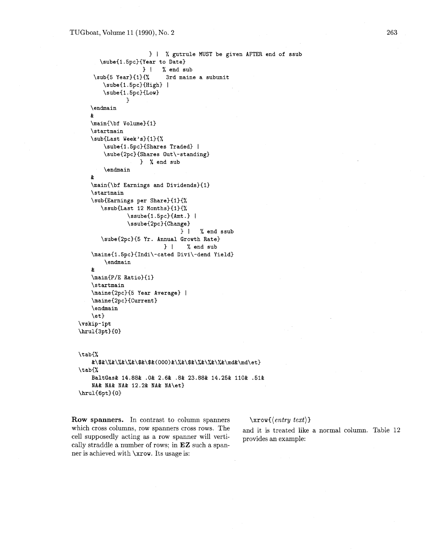```
) 1 % gutrule MUST be given AFTER end of ssub 
       \sube{l.5pc){Year to Date) 
     \{\text{sub}\ | % end sub<br>\sub{5 Year}{1}{% 3rd main
                             3rd maine a subunit
        \sube{l.5pc){High) I 
        \sube{l . 5pc){Low) 
                1 
    \endmain 
    \boldsymbol{\delta}\main{\bf Volume){l) 
    \startmain 
    \sub{Last Week's){1){% 
        \sube{1.5pc){Shares Traded) I 
        \sube{2pc){Shares Out\-standing) 
                    ) X end sub 
        \endmain 
    \boldsymbol{k}\main{\bf Earnings and Dividends){l) 
    \startmain 
    \sub{Earnings per Share){l){% 
       \ssub{Last 12 Months){l){% 
                \ssube{l.5pc){Amt.) I
                \ssube{2pc){Change) 
                                  ) I% end ssub 
       \sube{2pc){5 Yr. Annual Growth Rate) 
                             ) I % end sub 
    \maine{1.5pc){Indi\-cated Divi\-dend Yield) 
        \endmain 
    % 
    \main{P/E Ratio){l) 
    \startmain 
    \maine{2pc){5 Year Average) I 
    \maine{2pc){Current) 
    \endmain 
    \et) 
\vskip-lpt 
\hbox{\texttt{3pt}}0\tab{%
    &\$&\%&\%&\%&\$&\$&(000)&\%&\$&\%&\%&\%&\md&\md\et}
\tab{%
    BaltGas& 14.88& .0& 2.6& .8& 23.88& 14.25& 110& .51&
    NA& NA& NA& 12.2& NA& NA\et}
```
\hrul{6pt}{0}

**Row spanners.** In contrast to column spanners  $\xrow{\langle entry \ text \rangle}$ which cross columns, row spanners cross rows. The  $\qquad$  and it is treated like a normal column. Table 12 cell supposedly acting as a row spanner will verti-<br>provides an example: cally straddle a number of rows; in EZ such a spanner is achieved with **\xrow.** Its usage is: